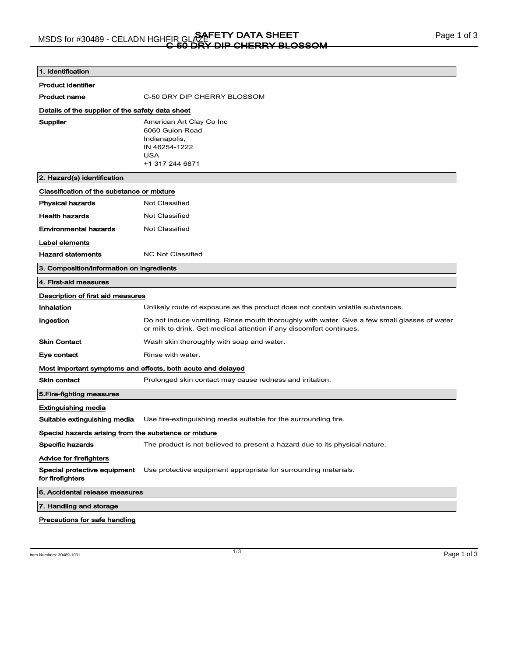| 1. Identification                                     |                                                                                                                                                                      |  |
|-------------------------------------------------------|----------------------------------------------------------------------------------------------------------------------------------------------------------------------|--|
| Product identifier                                    |                                                                                                                                                                      |  |
| <b>Product name</b>                                   | C-50 DRY DIP CHERRY BLOSSOM                                                                                                                                          |  |
| Details of the supplier of the safety data sheet      |                                                                                                                                                                      |  |
| Supplier                                              | American Art Clay Co Inc<br>6060 Guion Road<br>Indianapolis,<br>IN 46254-1222<br><b>USA</b><br>+1 317 244 6871                                                       |  |
| 2. Hazard(s) identification                           |                                                                                                                                                                      |  |
| Classification of the substance or mixture            |                                                                                                                                                                      |  |
| <b>Physical hazards</b>                               | <b>Not Classified</b>                                                                                                                                                |  |
| <b>Health hazards</b>                                 | <b>Not Classified</b>                                                                                                                                                |  |
| <b>Environmental hazards</b>                          | Not Classified                                                                                                                                                       |  |
| Label elements                                        |                                                                                                                                                                      |  |
| <b>Hazard statements</b>                              | <b>NC Not Classified</b>                                                                                                                                             |  |
| 3. Composition/information on ingredients             |                                                                                                                                                                      |  |
| 4. First-aid measures                                 |                                                                                                                                                                      |  |
| Description of first aid measures                     |                                                                                                                                                                      |  |
| Inhalation                                            | Unlikely route of exposure as the product does not contain volatile substances.                                                                                      |  |
| Ingestion                                             | Do not induce vomiting. Rinse mouth thoroughly with water. Give a few small glasses of water<br>or milk to drink. Get medical attention if any discomfort continues. |  |
| <b>Skin Contact</b>                                   | Wash skin thoroughly with soap and water.                                                                                                                            |  |
| Eye contact                                           | Rinse with water.                                                                                                                                                    |  |
|                                                       | Most important symptoms and effects, both acute and delayed                                                                                                          |  |
| <b>Skin contact</b>                                   | Prolonged skin contact may cause redness and irritation.                                                                                                             |  |
| 5. Fire-fighting measures                             |                                                                                                                                                                      |  |
| Extinguishing media                                   |                                                                                                                                                                      |  |
| Suitable extinguishing media                          | Use fire-extinguishing media suitable for the surrounding fire.                                                                                                      |  |
| Special hazards arising from the substance or mixture |                                                                                                                                                                      |  |
| <b>Specific hazards</b>                               | The product is not believed to present a hazard due to its physical nature.                                                                                          |  |
| <b>Advice for firefighters</b>                        |                                                                                                                                                                      |  |
| Special protective equipment<br>for firefighters      | Use protective equipment appropriate for surrounding materials.                                                                                                      |  |
| 6. Accidental release measures                        |                                                                                                                                                                      |  |
| 7. Handling and storage                               |                                                                                                                                                                      |  |
| Precautions for safe handling                         |                                                                                                                                                                      |  |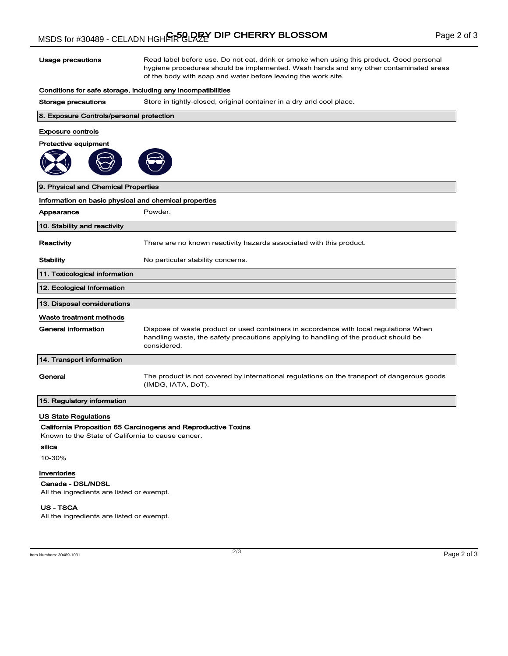Usage precautions **Read label before use. Do not eat, drink** or smoke when using this product. Good personal hygiene procedures should be implemented. Wash hands and any other contaminated areas of the body with soap and water before leaving the work site.

# Conditions for safe storage, including any incompatibilities

Storage precautions Store in tightly-closed, original container in a dry and cool place.

### 8. Exposure Controls/personal protection

# Exposure controls

# Protective equipment





| 9. Physical and Chemical Properties<br>Information on basic physical and chemical properties |                                                                     |  |
|----------------------------------------------------------------------------------------------|---------------------------------------------------------------------|--|
|                                                                                              |                                                                     |  |
| 10. Stability and reactivity                                                                 |                                                                     |  |
| Reactivity                                                                                   | There are no known reactivity hazards associated with this product. |  |
| <b>Stability</b>                                                                             | No particular stability concerns.                                   |  |
| 11. Toxicological information                                                                |                                                                     |  |
|                                                                                              |                                                                     |  |

# 13. Disposal considerations

12. Ecological Information

| Waste treatment methods   |                                                                                                                                                                                              |
|---------------------------|----------------------------------------------------------------------------------------------------------------------------------------------------------------------------------------------|
| General information       | Dispose of waste product or used containers in accordance with local regulations When<br>handling waste, the safety precautions applying to handling of the product should be<br>considered. |
| 14. Transport information |                                                                                                                                                                                              |
|                           |                                                                                                                                                                                              |

General The product is not covered by international regulations on the transport of dangerous goods (IMDG, IATA, DoT).

# 15. Regulatory information

### US State Regulations

#### California Proposition 65 Carcinogens and Reproductive Toxins

Known to the State of California to cause cancer.

### silica

10-30%

## Inventories

#### Canada - DSL/NDSL

All the ingredients are listed or exempt.

### US - TSCA

All the ingredients are listed or exempt.